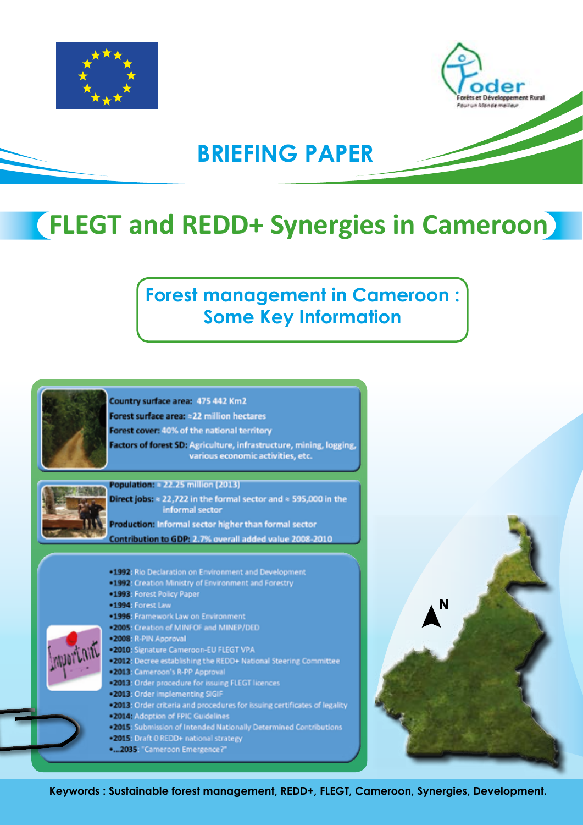



# **BRIEFING PAPER**

# **FLEGT and REDD+ Synergies in Cameroon**

# **Forest management in Cameroon : Some Key Information**



**Keywords : Sustainable forest management, REDD+, FLEGT, Cameroon, Synergies, Development.**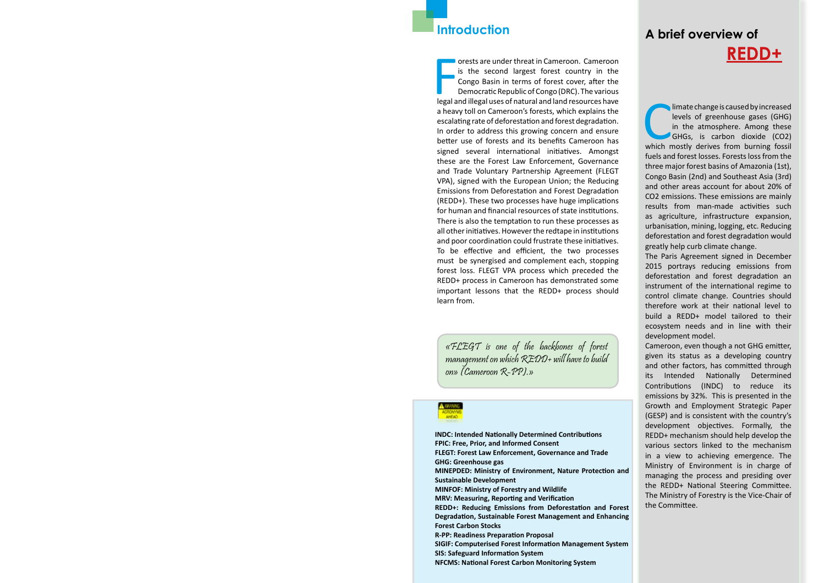### **Introduction**

**FIGURE 19 ONE SET AND AN ALL STATES CONCRETED AND APPLAMENT AND REPORT ON DEMOCRATION DEMOCRATION DEPAPERDING DEPAPERDUATE DEMOCRATION DEPAPERDING REGAL AND REPORT ON A DEPAPERDUATE DEPAPERDING OF CONGRO (DRC). The variou** orests are under threat in Cameroon. Cameroon is the second largest forest country in the Congo Basin in terms of forest cover, after the Democratic Republic of Congo (DRC). The various a heavy toll on Cameroon's forests, which explains the escalating rate of deforestation and forest degradation. In order to address this growing concern and ensure better use of forests and its benefits Cameroon has signed several international initiatives. Amongst these are the Forest Law Enforcement, Governance and Trade Voluntary Partnership Agreement (FLEGT VPA), signed with the European Union; the Reducing Emissions from Deforestation and Forest Degradation (REDD+). These two processes have huge implications for human and financial resources of state institutions. There is also the temptation to run these processes as all other initiatives. However the redtape in institutions and poor coordination could frustrate these initiatives. To be effective and efficient, the two processes must be synergised and complement each, stopping forest loss. FLEGT VPA process which preceded the REDD+ process in Cameroon has demonstrated some important lessons that the REDD+ process should learn from.

limate change is caused by increased<br>levels of greenhouse gases (GHG)<br>in the atmosphere. Among these<br>GHGs, is carbon dioxide (CO2)<br>which mostly derives from burning fossil limate change is caused by increased levels of greenhouse gases (GHG) in the atmosphere. Among these GHGs, is carbon dioxide (CO2) fuels and forest losses. Forests loss from the three major forest basins of Amazonia (1st), Congo Basin (2nd) and Southeast Asia (3rd) and other areas account for about 20% of CO2 emissions. These emissions are mainly results from man-made activities such as agriculture, infrastructure expansion, urbanisation, mining, logging, etc. Reducing deforestation and forest degradation would greatly help curb climate change.

The Paris Agreement signed in December 2015 portrays reducing emissions from deforestation and forest degradation an instrument of the international regime to control climate change. Countries should therefore work at their national level to build a REDD+ model tailored to their ecosystem needs and in line with their development model.

Cameroon, even though a not GHG emitter, given its status as a developing country and other factors, has committed through its Intended Nationally Determined Contributions (INDC) to reduce its emissions by 32%. This is presented in the Growth and Employment Strategic Paper (GESP) and is consistent with the country's development objectives. Formally, the REDD+ mechanism should help develop the various sectors linked to the mechanism in a view to achieving emergence. The Ministry of Environment is in charge of managing the process and presiding over the REDD+ National Steering Committee. The Ministry of Forestry is the Vice-Chair of the Committee.

# **A brief overview of REDD+**

**INDC: Intended Nationally Determined Contributions FPIC: Free, Prior, and Informed Consent FLEGT: Forest Law Enforcement, Governance and Trade GHG: Greenhouse gas MINEPDED: Ministry of Environment, Nature Protection and Sustainable Development MINFOF: Ministry of Forestry and Wildlife MRV: Measuring, Reporting and Verification REDD+: Reducing Emissions from Deforestation and Forest Degradation, Sustainable Forest Management and Enhancing Forest Carbon Stocks R-PP: Readiness Preparation Proposal SIGIF: Computerised Forest Information Management System SIS: Safeguard Information System NFCMS: National Forest Carbon Monitoring System**

«FLEGT is one of the backbones of forest management on which  $\mathcal{REDD+}$  will have to build on» (Cameroon R-PP).»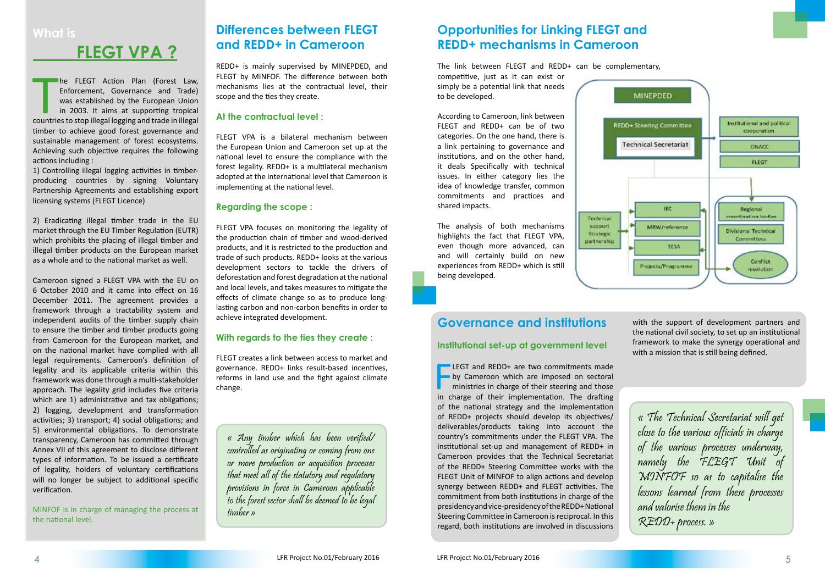The FLEGT Action Plan (Forest Law, Enforcement, Governance and Trade) was established by the European Union in 2003. It aims at supporting tropical countries to stop illegal logging and trade in illegal he FLEGT Action Plan (Forest Law, Enforcement, Governance and Trade) was established by the European Union in 2003. It aims at supporting tropical timber to achieve good forest governance and sustainable management of forest ecosystems. Achieving such objective requires the following actions including :

1) Controlling illegal logging activities in timberproducing countries by signing Voluntary Partnership Agreements and establishing export licensing systems (FLEGT Licence)

2) Eradicating illegal timber trade in the EU market through the EU Timber Regulation (EUTR) which prohibits the placing of illegal timber and illegal timber products on the European market as a whole and to the national market as well.

Cameroon signed a FLEGT VPA with the EU on 6 October 2010 and it came into effect on 16 December 2011. The agreement provides a framework through a tractability system and independent audits of the timber supply chain to ensure the timber and timber products going from Cameroon for the European market, and on the national market have complied with all legal requirements. Cameroon's definition of legality and its applicable criteria within this framework was done through a multi-stakeholder approach. The legality grid includes five criteria which are 1) administrative and tax obligations; 2) logging, development and transformation activities; 3) transport; 4) social obligations; and 5) environmental obligations. To demonstrate transparency, Cameroon has committed through Annex VII of this agreement to disclose different types of information. To be issued a certificate of legality, holders of voluntary certifications will no longer be subject to additional specific verification.

MINFOF is in charge of managing the process at the national level.

# **Opportunities for Linking FLEGT and REDD+ mechanisms in Cameroon**

The link between FLEGT and REDD+ can be complementary,

competitive, just as it can exist or simply be a potential link that needs to be developed.

According to Cameroon, link between FLEGT and REDD+ can be of two categories. On the one hand, there is a link pertaining to governance and institutions, and on the other hand, it deals Specifically with technical issues. In either category lies the idea of knowledge transfer, common commitments and practices and shared impacts.

**ELEGT** and REDD+ are two commitments made<br>by Cameroon which are imposed on sectoral<br>ministries in charge of their steering and those<br>in charge of their implementation. The drafting **LEGT** and REDD+ are two commitments made by Cameroon which are imposed on sectoral ministries in charge of their steering and those of the national strategy and the implementation of REDD+ projects should develop its objectives/ deliverables/products taking into account the country's commitments under the FLEGT VPA. The institutional set-up and management of REDD+ in Cameroon provides that the Technical Secretariat of the REDD+ Steering Committee works with the FLEGT Unit of MINFOF to align actions and develop synergy between REDD+ and FLEGT activities. The commitment from both institutions in charge of the presidency and vice-presidency of the REDD+ National Steering Committee in Cameroon is reciprocal. In this regard, both institutions are involved in discussions

The analysis of both mechanisms highlights the fact that FLEGT VPA, even though more advanced, can and will certainly build on new experiences from REDD+ which is still being developed.





# **What is**

# **FLEGT VPA ?**

## **Differences between FLEGT and REDD+ in Cameroon**

REDD+ is mainly supervised by MINEPDED, and FLEGT by MINFOF. The difference between both mechanisms lies at the contractual level, their scope and the ties they create.

### **At the contractual level :**

FLEGT VPA is a bilateral mechanism between the European Union and Cameroon set up at the national level to ensure the compliance with the forest legality. REDD+ is a multilateral mechanism adopted at the international level that Cameroon is implementing at the national level.

### **Regarding the scope :**

FLEGT VPA focuses on monitoring the legality of the production chain of timber and wood-derived products, and it is restricted to the production and trade of such products. REDD+ looks at the various development sectors to tackle the drivers of deforestation and forest degradation at the national and local levels, and takes measures to mitigate the effects of climate change so as to produce longlasting carbon and non-carbon benefits in order to achieve integrated development.

### **With regards to the ties they create :**

FLEGT creates a link between access to market and governance. REDD+ links result-based incentives, reforms in land use and the fight against climate change.

« Any timber which has been verified/ controlled as originating or coming from one or more production or acquisition processes that meet all of the statutory and regulatory provisions in force in Cameroon applicable to the forest sector shall be deemed to be legal timber »

## **Governance and institutions**

### **Institutional set-up at government level**

« The Technical Secretariat will get close to the various officials in charge of the various processes underway, namely the FLEGT Unit of MINFOF so as to capitalise the lessons learned from these processes and valorise them in the REDD+ process. »

with the support of development partners and the national civil society, to set up an institutional framework to make the synergy operational and with a mission that is still being defined.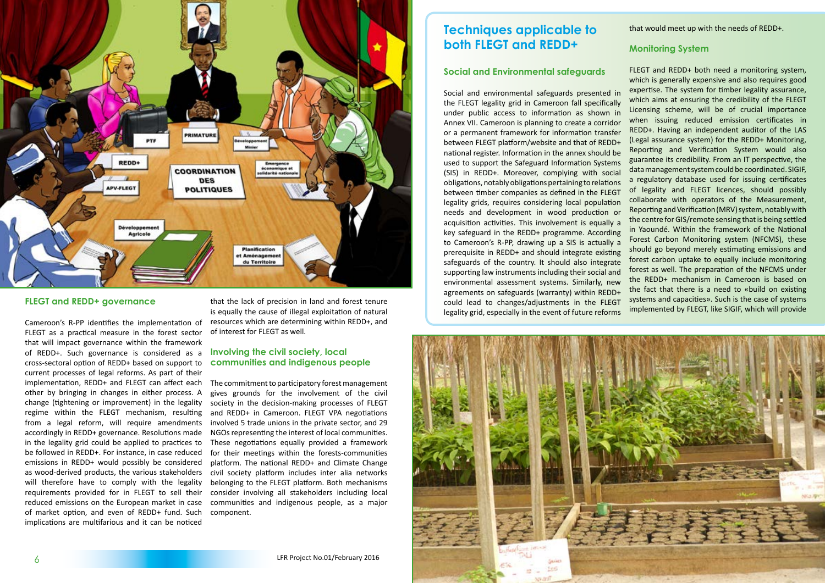



### **FLEGT and REDD+ governance**

Cameroon's R-PP identifies the implementation of FLEGT as a practical measure in the forest sector that will impact governance within the framework of REDD+. Such governance is considered as a cross-sectoral option of REDD+ based on support to current processes of legal reforms. As part of their implementation, REDD+ and FLEGT can affect each other by bringing in changes in either process. A change (tightening or improvement) in the legality regime within the FLEGT mechanism, resulting from a legal reform, will require amendments accordingly in REDD+ governance. Resolutions made in the legality grid could be applied to practices to be followed in REDD+. For instance, in case reduced emissions in REDD+ would possibly be considered as wood-derived products, the various stakeholders will therefore have to comply with the legality requirements provided for in FLEGT to sell their reduced emissions on the European market in case of market option, and even of REDD+ fund. Such implications are multifarious and it can be noticed

that the lack of precision in land and forest tenure is equally the cause of illegal exploitation of natural resources which are determining within REDD+, and of interest for FLEGT as well.

### **Involving the civil society, local communities and indigenous people**

The commitment to participatory forest management gives grounds for the involvement of the civil society in the decision-making processes of FLEGT and REDD+ in Cameroon. FLEGT VPA negotiations involved 5 trade unions in the private sector, and 29 NGOs representing the interest of local communities. These negotiations equally provided a framework for their meetings within the forests-communities platform. The national REDD+ and Climate Change civil society platform includes inter alia networks belonging to the FLEGT platform. Both mechanisms consider involving all stakeholders including local communities and indigenous people, as a major component.

## **Techniques applicable to both FLEGT and REDD+**

### **Social and Environmental safeguards**

that would meet up with the needs of REDD+.

### **Monitoring System**

Social and environmental safeguards presented in the FLEGT legality grid in Cameroon fall specifically under public access to information as shown in Annex VII. Cameroon is planning to create a corridor or a permanent framework for information transfer between FLEGT platform/website and that of REDD+ national register. Information in the annex should be used to support the Safeguard Information Systems (SIS) in REDD+. Moreover, complying with social obligations, notably obligations pertaining to relations between timber companies as defined in the FLEGT legality grids, requires considering local population needs and development in wood production or acquisition activities. This involvement is equally a key safeguard in the REDD+ programme. According to Cameroon's R-PP, drawing up a SIS is actually a prerequisite in REDD+ and should integrate existing safeguards of the country. It should also integrate supporting law instruments including their social and environmental assessment systems. Similarly, new agreements on safeguards (warranty) within REDD+ could lead to changes/adjustments in the FLEGT legality grid, especially in the event of future reforms FLEGT and REDD+ both need a monitoring system, which is generally expensive and also requires good expertise. The system for timber legality assurance, which aims at ensuring the credibility of the FLEGT Licensing scheme, will be of crucial importance when issuing reduced emission certificates in REDD+. Having an independent auditor of the LAS (Legal assurance system) for the REDD+ Monitoring, Reporting and Verification System would also guarantee its credibility. From an IT perspective, the data management system could be coordinated. SIGIF, a regulatory database used for issuing certificates of legality and FLEGT licences, should possibly collaborate with operators of the Measurement, Reporting and Verification (MRV) system, notably with the centre for GIS/remote sensing that is being settled in Yaoundé. Within the framework of the National Forest Carbon Monitoring system (NFCMS), these should go beyond merely estimating emissions and forest carbon uptake to equally include monitoring forest as well. The preparation of the NFCMS under the REDD+ mechanism in Cameroon is based on the fact that there is a need to «build on existing systems and capacities». Such is the case of systems implemented by FLEGT, like SIGIF, which will provide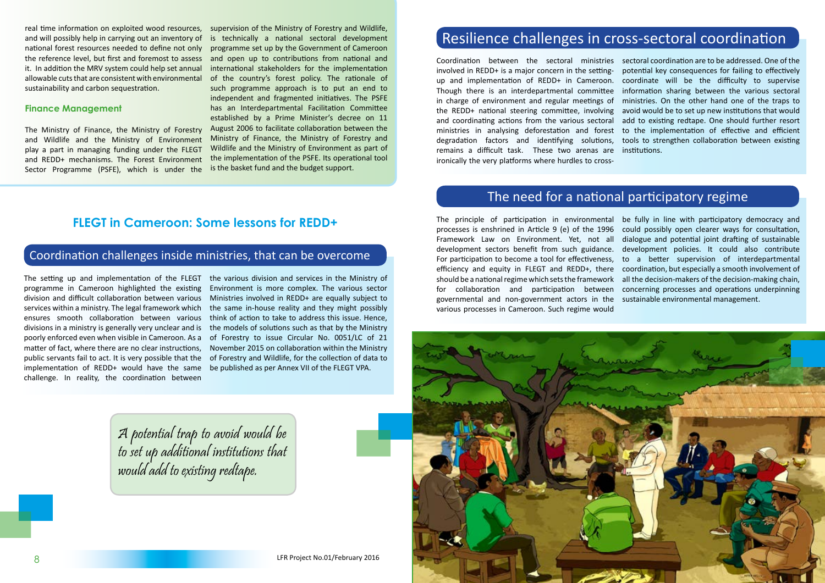

## **FLEGT in Cameroon: Some lessons for REDD+**

The setting up and implementation of the FLEGT programme in Cameroon highlighted the existing division and difficult collaboration between various services within a ministry. The legal framework which ensures smooth collaboration between various divisions in a ministry is generally very unclear and is poorly enforced even when visible in Cameroon. As a matter of fact, where there are no clear instructions, public servants fail to act. It is very possible that the implementation of REDD+ would have the same challenge. In reality, the coordination between

the various division and services in the Ministry of Environment is more complex. The various sector Ministries involved in REDD+ are equally subject to the same in-house reality and they might possibly think of action to take to address this issue. Hence, the models of solutions such as that by the Ministry of Forestry to issue Circular No. 0051/LC of 21 November 2015 on collaboration within the Ministry of Forestry and Wildlife, for the collection of data to be published as per Annex VII of the FLEGT VPA.

A potential trap to avoid would be to set up additional institutions that would add to existing redtape.

real time information on exploited wood resources, supervision of the Ministry of Forestry and Wildlife, is technically a national sectoral development programme set up by the Government of Cameroon and open up to contributions from national and international stakeholders for the implementation of the country's forest policy. The rationale of such programme approach is to put an end to independent and fragmented initiatives. The PSFE has an Interdepartmental Facilitation Committee established by a Prime Minister's decree on 11 August 2006 to facilitate collaboration between the Ministry of Finance, the Ministry of Forestry and Wildlife and the Ministry of Environment as part of the implementation of the PSFE. Its operational tool is the basket fund and the budget support.

and will possibly help in carrying out an inventory of national forest resources needed to define not only the reference level, but first and foremost to assess it. In addition the MRV system could help set annual allowable cuts that are consistent with environmental sustainability and carbon sequestration.

### **Finance Management**

The Ministry of Finance, the Ministry of Forestry and Wildlife and the Ministry of Environment play a part in managing funding under the FLEGT and REDD+ mechanisms. The Forest Environment Sector Programme (PSFE), which is under the

# Coordination challenges inside ministries, that can be overcome

Coordination between the sectoral ministries sectoral coordination are to be addressed. One of the involved in REDD+ is a major concern in the settingup and implementation of REDD+ in Cameroon. Though there is an interdepartmental committee in charge of environment and regular meetings of the REDD+ national steering committee, involving and coordinating actions from the various sectoral ministries in analysing deforestation and forest degradation factors and identifying solutions, remains a difficult task. These two arenas are ironically the very platforms where hurdles to crosspotential key consequences for failing to effectively coordinate will be the difficulty to supervise information sharing between the various sectoral ministries. On the other hand one of the traps to avoid would be to set up new institutions that would add to existing redtape. One should further resort to the implementation of effective and efficient tools to strengthen collaboration between existing institutions.

# Resilience challenges in cross-sectoral coordination

The principle of participation in environmental processes is enshrined in Article 9 (e) of the 1996 Framework Law on Environment. Yet, not all development sectors benefit from such guidance. development policies. It could also contribute For participation to become a tool for effectiveness, efficiency and equity in FLEGT and REDD+, there coordination, but especially a smooth involvement of should be a national regime which sets the framework for collaboration and participation between governmental and non-government actors in the various processes in Cameroon. Such regime would be fully in line with participatory democracy and could possibly open clearer ways for consultation, dialogue and potential joint drafting of sustainable to a better supervision of interdepartmental all the decision-makers of the decision-making chain, concerning processes and operations underpinning sustainable environmental management.

## The need for a national participatory regime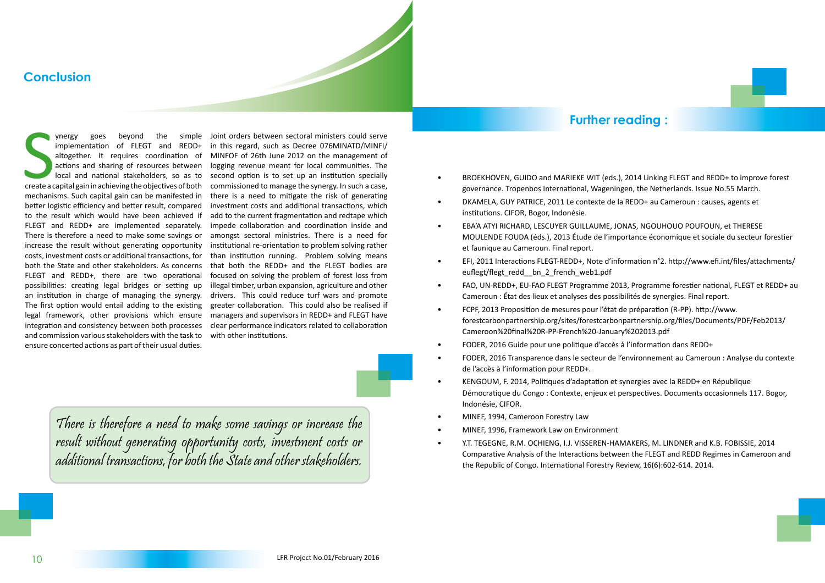S<br>Create a co implementation of FLEGT and REDD+ altogether. It requires coordination of actions and sharing of resources between create a capital gain in achieving the objectives of both mechanisms. Such capital gain can be manifested in better logistic efficiency and better result, compared to the result which would have been achieved if FLEGT and REDD+ are implemented separately. There is therefore a need to make some savings or increase the result without generating opportunity costs, investment costs or additional transactions, for both the State and other stakeholders. As concerns FLEGT and REDD+, there are two operational possibilities: creating legal bridges or setting up an institution in charge of managing the synergy. The first option would entail adding to the existing legal framework, other provisions which ensure managers and supervisors in REDD+ and FLEGT have integration and consistency between both processes and commission various stakeholders with the task to ensure concerted actions as part of their usual duties.

ynergy goes beyond the simple Joint orders between sectoral ministers could serve local and national stakeholders, so as to second option is to set up an institution specially in this regard, such as Decree 076MINATD/MINFI/ MINFOF of 26th June 2012 on the management of logging revenue meant for local communities. The commissioned to manage the synergy. In such a case, there is a need to mitigate the risk of generating investment costs and additional transactions, which add to the current fragmentation and redtape which impede collaboration and coordination inside and amongst sectoral ministries. There is a need for institutional re-orientation to problem solving rather than institution running. Problem solving means that both the REDD+ and the FLEGT bodies are focused on solving the problem of forest loss from illegal timber, urban expansion, agriculture and other drivers. This could reduce turf wars and promote greater collaboration. This could also be realised if clear performance indicators related to collaboration with other institutions.

et faunique au Cameroun. Final report. euflegt/flegt redd bn 2 french web1.pdf

## **Conclusion**

There is therefore a need to make some savings or increase the result without generating opportunity costs, investment costs or additional transactions, for both the State and other stakeholders.

• BROEKHOVEN, GUIDO and MARIEKE WIT (eds.), 2014 Linking FLEGT and REDD+ to improve forest governance. Tropenbos International, Wageningen, the Netherlands. Issue No.55 March. • DKAMELA, GUY PATRICE, 2011 Le contexte de la REDD+ au Cameroun : causes, agents et

institutions. CIFOR, Bogor, Indonésie.

• EBA'A ATYI RICHARD, LESCUYER GUILLAUME, JONAS, NGOUHOUO POUFOUN, et THERESE MOULENDE FOUDA (éds.), 2013 Étude de l'importance économique et sociale du secteur forestier

• EFI, 2011 Interactions FLEGT-REDD+, Note d'information n°2. http://www.efi.int/files/attachments/

• FAO, UN-REDD+, EU-FAO FLEGT Programme 2013, Programme forestier national, FLEGT et REDD+ au

Cameroun : État des lieux et analyses des possibilités de synergies. Final report.

- FCPF, 2013 Proposition de mesures pour l'état de préparation (R-PP). http://www. forestcarbonpartnership.org/sites/forestcarbonpartnership.org/files/Documents/PDF/Feb2013/ Cameroon%20final%20R-PP-French%20-January%202013.pdf
- FODER, 2016 Guide pour une politique d'accès à l'information dans REDD+
- FODER, 2016 Transparence dans le secteur de l'environnement au Cameroun : Analyse du contexte de l'accès à l'information pour REDD+.
- KENGOUM, F. 2014, Politiques d'adaptation et synergies avec la REDD+ en République Indonésie, CIFOR.
- MINEF, 1994, Cameroon Forestry Law
- MINEF, 1996, Framework Law on Environment
- Y.T. TEGEGNE, R.M. OCHIENG, I.J. VISSEREN-HAMAKERS, M. LINDNER and K.B. FOBISSIE, 2014 the Republic of Congo. International Forestry Review, 16(6):602-614. 2014.

Démocratique du Congo : Contexte, enjeux et perspectives. Documents occasionnels 117. Bogor,

Comparative Analysis of the Interactions between the FLEGT and REDD Regimes in Cameroon and